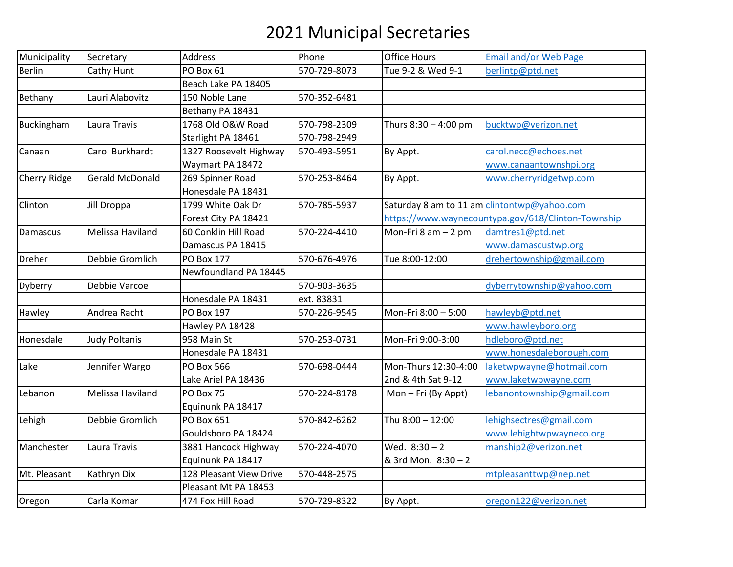## 2021 Municipal Secretaries

| Municipality        | Secretary              | Address                 | Phone        | <b>Office Hours</b>  | <b>Email and/or Web Page</b>                       |
|---------------------|------------------------|-------------------------|--------------|----------------------|----------------------------------------------------|
| <b>Berlin</b>       | Cathy Hunt             | PO Box 61               | 570-729-8073 | Tue 9-2 & Wed 9-1    | berlintp@ptd.net                                   |
|                     |                        | Beach Lake PA 18405     |              |                      |                                                    |
| Bethany             | Lauri Alabovitz        | 150 Noble Lane          | 570-352-6481 |                      |                                                    |
|                     |                        | Bethany PA 18431        |              |                      |                                                    |
| Buckingham          | Laura Travis           | 1768 Old O&W Road       | 570-798-2309 | Thurs 8:30 - 4:00 pm | bucktwp@verizon.net                                |
|                     |                        | Starlight PA 18461      | 570-798-2949 |                      |                                                    |
| Canaan              | Carol Burkhardt        | 1327 Roosevelt Highway  | 570-493-5951 | By Appt.             | carol.necc@echoes.net                              |
|                     |                        | Waymart PA 18472        |              |                      | www.canaantownshpi.org                             |
| <b>Cherry Ridge</b> | <b>Gerald McDonald</b> | 269 Spinner Road        | 570-253-8464 | By Appt.             | www.cherryridgetwp.com                             |
|                     |                        | Honesdale PA 18431      |              |                      |                                                    |
| Clinton             | Jill Droppa            | 1799 White Oak Dr       | 570-785-5937 |                      | Saturday 8 am to 11 am clintontwp@yahoo.com        |
|                     |                        | Forest City PA 18421    |              |                      | https://www.waynecountypa.gov/618/Clinton-Township |
| Damascus            | Melissa Haviland       | 60 Conklin Hill Road    | 570-224-4410 | Mon-Fri 8 am $-2$ pm | damtres1@ptd.net                                   |
|                     |                        | Damascus PA 18415       |              |                      | www.damascustwp.org                                |
| <b>Dreher</b>       | Debbie Gromlich        | <b>PO Box 177</b>       | 570-676-4976 | Tue 8:00-12:00       | drehertownship@gmail.com                           |
|                     |                        | Newfoundland PA 18445   |              |                      |                                                    |
| Dyberry             | Debbie Varcoe          |                         | 570-903-3635 |                      | dyberrytownship@yahoo.com                          |
|                     |                        | Honesdale PA 18431      | ext. 83831   |                      |                                                    |
| Hawley              | Andrea Racht           | PO Box 197              | 570-226-9545 | Mon-Fri 8:00 - 5:00  | hawleyb@ptd.net                                    |
|                     |                        | Hawley PA 18428         |              |                      | www.hawleyboro.org                                 |
| Honesdale           | <b>Judy Poltanis</b>   | 958 Main St             | 570-253-0731 | Mon-Fri 9:00-3:00    | hdleboro@ptd.net                                   |
|                     |                        | Honesdale PA 18431      |              |                      | www.honesdaleborough.com                           |
| Lake                | Jennifer Wargo         | PO Box 566              | 570-698-0444 | Mon-Thurs 12:30-4:00 | laketwpwayne@hotmail.com                           |
|                     |                        | Lake Ariel PA 18436     |              | 2nd & 4th Sat 9-12   | www.laketwpwayne.com                               |
| Lebanon             | Melissa Haviland       | PO Box 75               | 570-224-8178 | Mon - Fri (By Appt)  | lebanontownship@gmail.com                          |
|                     |                        | Equinunk PA 18417       |              |                      |                                                    |
| Lehigh              | Debbie Gromlich        | PO Box 651              | 570-842-6262 | Thu 8:00 - 12:00     | lehighsectres@gmail.com                            |
|                     |                        | Gouldsboro PA 18424     |              |                      | www.lehightwpwayneco.org                           |
| Manchester          | Laura Travis           | 3881 Hancock Highway    | 570-224-4070 | Wed. $8:30-2$        | manship2@verizon.net                               |
|                     |                        | Equinunk PA 18417       |              | & 3rd Mon. 8:30 - 2  |                                                    |
| Mt. Pleasant        | Kathryn Dix            | 128 Pleasant View Drive | 570-448-2575 |                      | mtpleasanttwp@nep.net                              |
|                     |                        | Pleasant Mt PA 18453    |              |                      |                                                    |
| Oregon              | Carla Komar            | 474 Fox Hill Road       | 570-729-8322 | By Appt.             | oregon122@verizon.net                              |